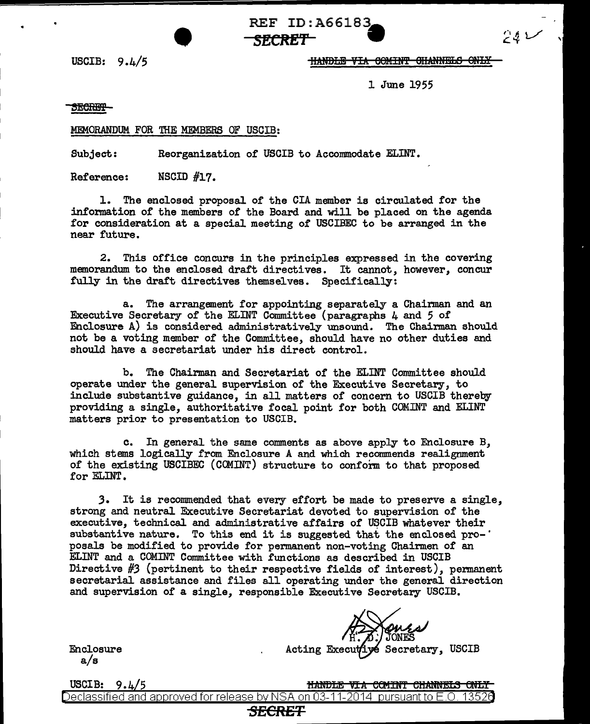REF ID:A66183<br>
<del>SECRET</del><br>
HANDLE VIA 60 **SECRET** •

USCIB:  $9.4/5$  IIANDLE VIA GOMINT OHANNELS ONLY

'

シカレ

1 June 1955

SECRET-

#### MEMORANDUM. FOR THE MEMBERS OF USCIB:

Subject: Reorganization of USCIB to Accommodate ELINT.

Reference: NSCID #17.

1. The enclosed proposal of' the CIA member is circulated for the information of the members of the Board and will be placed on the agenda for consideration at a special meeting of USCIBEC to be arranged in the near future.

2. This office concurs in the principles expressed in the covering memorandum to the enclosed draft directives. It cannot, however, concur fully in the draft directives themselves. Specifically:

a. The arrangement for appointing separately a Chairman and an Executive Secretary of' the ELINT Committee (paragraphs 4 and 5 of Enclosure A) is considered administratively unsound. The Chairman should not be a voting member of the Committee, should have no other duties and should have a secretariat under his direct control.

b. The Chairman and Secretariat of the ELINT Committee should operate under the general supervision of the Executive Secretary, to include substantive guidance, in all matters of concern to USCIB thereby providing a single, authoritative focal point for both COMINT and ELINT matters prior to presentation to USCIB.

c. In general the same comments as above apply to Enclosure B, which stems logically from Enclosure A and which recommends realignment of the existing USCIBEC (CCMINT) structure to conform to that proposed for ELINT.

J. It is recommended that every effort be made to preserve a single, strong and neutral Executive Secretariat devoted to supervision of the executive, technical and administrative affairs of USCIB whatever their substantive nature. To this end it is suggested that the enclosed pro- $\cdot$ posals be modified to provide for permanent non-voting Chairmen of an EI.INT and a COMINT Committee with functions as described in USCIB Directive #J (pertinent to their respective fields of interest), permanent secretarial assistance and files all operating under the general direction and supervision of a single, responsible Executive Secretary USCIB.

Acting Executive Secretary, USCIB

Enclosure a/s

USCIB:  $9.4/5$ HANDLE VIA COMINT CHANNELS ONLY Declassified and approved for release by NSA on 03-11-2014  $\,$  pursuant to E.O. 13526  $\,$ *SECRET*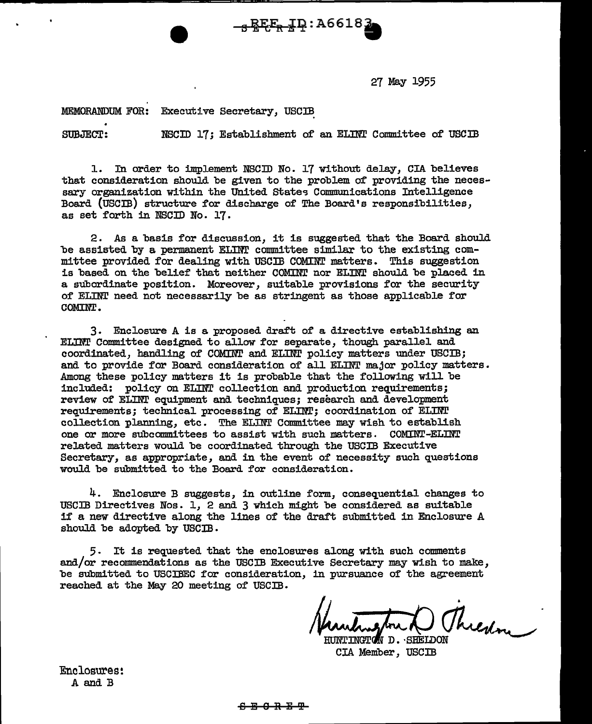27 May 1955

MEMORANDUM FOR: Executive Secretary, USCIB

SUBJECT: NSCID 17: Establishment of an ELINT Committee of USCIB

 $-\frac{1}{3}$  REE<sub>R</sub> IQ: A6618

l. In order to 1mp1ement NSCID No. 17 without delay, CIA believes that consideration should be given to the problem of providing the necessary organization within the United States Communications Intelligence Board (USCIB) structure for discharge of The Board's responsibilities, as set forth in NSCID No. 17.

2. As a basis for discussion, it is suggested that the Board should be assisted by a permanent ELINT committee similar to the existing committee provided for dealing with USCIB COMINT matters. This suggestion is based on the belief that neither COMINT nor ELINT should be placed in a subordinate position. Moreover, suitable provisions for the security of ELINT need not necessarily be as stringent as those applicable for COMINT.

 $3.$  Enclosure A is a proposed draft of a directive establishing an ELIN! Committee designed to allow for separate, though parallel and coordinated, handling of COMINT and ELINT policy matters under USCIB; and to provide for Board consideration of all ELINT major policy matters. Among these policy matters it is probable that the following will be included: policy on ELINT collection and production requirements; review of ELINT equipment and techniques; research and development requirements; technical processing of EI.INT; coordination of EI.INT collection planning, etc. The ELINT Committee may wish to establish one or more subcommittees to assist with such matters. COMINT-ELINT related matters would be coordinated through the USCIB Executive Secretary, as appropriate, and in the event of necessity such questions would be submitted to the Board for consideration.

4. Enclosure B suggests, in outline form, consequential changes to USCIB Directives Nos. 1, 2 and 3 which might be considered as suitable if a new directive along the lines of the draft submitted in Enclosure A should be adopted by USCIB.

5. It is requested that the enclosures along with such comments and/or recommendations as the USCIB Executive Secretary may wish to make, be submitted to USCIBEC for consideration, in pursuance of the agreement reached at the May 20 meeting of USCIB.

Threshme

INGTON D. SHEIDON CIA Member, USCIB

Enclosures: A and B

#### ת <u>הממה</u>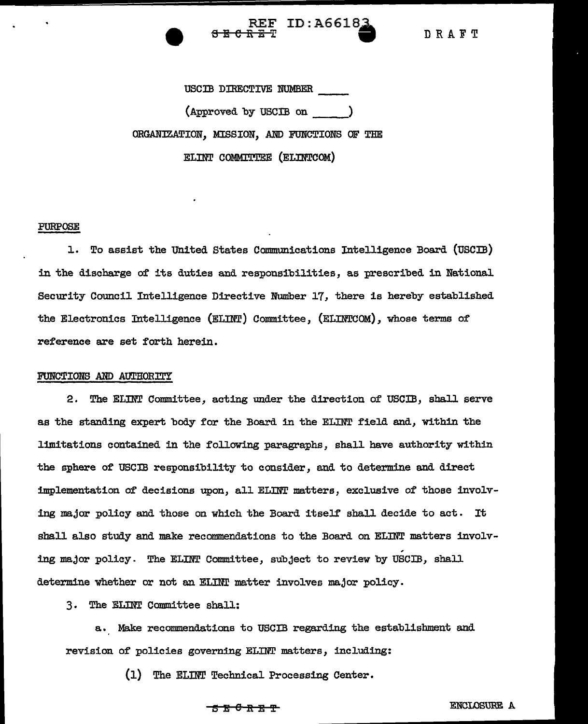

DRAFT

USCIB DIRECTIVE NUMBER \_\_\_\_\_\_\_<br>(Approved by USCIB on ) ORGANIZATION, MISSION, AND FUNCTIONS OF THE ELINT COMMITTEE (ELINTCOM)

#### PURPOSE

J.. To assist the united States Communications Intelligence Board (USCIB) in the discharge of its duties and responsibilities, as prescribed in National Security Council Intelligence Directive Number 17, there is hereby established the Electronics Intelligence (ELINT) Committee, (ELINTCOM), whose terms of reference are set forth herein.

#### FUNCTIONS AND AUTHORITY

2. The ELINT Committee, acting under the direction of USCIB, shall serve as the standing expert body for the Board in the ELINT field and, within the limitations contained in the folloving paragraphs, shall have authority within the sphere of USCIB responsibility to consider, and to determine and direct implementation of decisions upon, all ELINT matters, exclusive of those involving major policy and those on which the Board itself shall decide to act. It shall also study and make recommendations to the Board on ELINT matters involv-, ing major policy. The ELINT Committee, subject to review by USCIB, shall determine whether or not an ELINT matter involves major policy.

3. The ELINT Committee shall:

a. Make recommendations to USCIB regarding the establishment and revision of policies governing ELINT matters, including:

(1) The ELINT Technical Processing Center.

#### $S$  E  $C$   $R$   $R$   $T$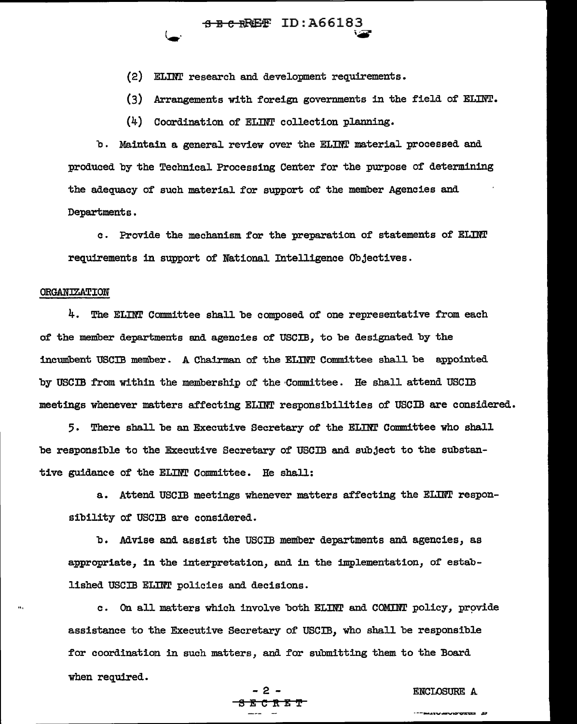$\overline{\texttt{B} \cdot \texttt{R}}$  ID:A66183

(2) ELINT research and development requirements.

 $(3)$  Arrangements with foreign governments in the field of ELINT.

(4) Coordination of ELINT collection planning.

b. Maintain a general review over the ELINT material processed and produced by the Technical Processing Center for the purpose of determining the adequacy of such material. for support of' the member Agencies and Departments •

c . Provide the mechanism for the preparation of statements of ELDIT requirements in support of National Intelligence Objectives.

#### ORGANIZATION

 $4.$  The ELINT Committee shall be composed of one representative from each of the member departments and agencies of' USCIB, to be designated by the incumbent USCIB member. A Chairman of the ELINT Committee shall be appointed by USCIB from within the membership of the Committee. He shall attend USCIB meetings whenever matters affecting ELINT responsibilities of USCIB are considered.

5. There shall be an Executive Secretary of the ELINT Committee who shall be responsible to the Executive Secretary of USCIB and subject to the substantive guidance of the ELINT Committee. He shall:

a. Attend USCIB meetings whenever matters affecting the ELINT responsibility of USCIB are considered.

b. Advise and assist the USCIB member departments and agencies, as appropriate, in the interpretation, and in the implementation, of' established USCIB ELINT policies and decisions.

c. On all matters which involve both ELINT and COMINT policy, provide assistance to the Executive Secretary of USCIB, who shall be responsible for coordination in such matters, and for submitting them to the Board when required.

## $\frac{B}{B} \cdot \frac{B}{B} \cdot \frac{B}{B} \cdot \frac{B}{B}$

#### ENCLOSURE A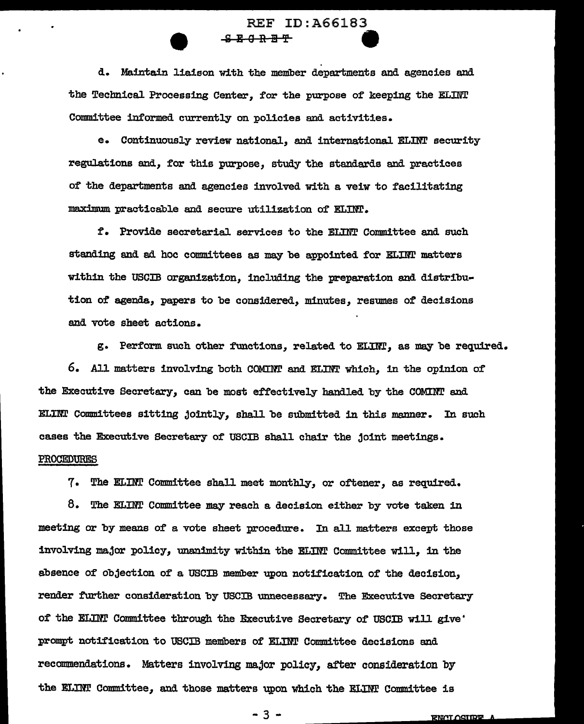# REF ID:A66183<br><del>SECRET</del>

d. Maintain liaison with the member departments and agencies and the Technical Processing Center, for the purpose of keeping the ELINT Committee informed currently on policies and activities.

e. Continuously review national, and international ELINT security regulations and, for this purpose, study the standards and practices of the departments and agencies involved with a. veiw to facilitating maximum practicable and secure utilization of ELINT.

*t.* Provide secretarial services to the ELINT Committee and such standing and ad hoc committees as may be appointed for ELINT matters within the USCIB organization, including the preparation and distribution of agenda, papers to be considered, minutes, resumes of decisions and vote sheet actions.

g. Perform such other functions, related to ELINT, as may be required. 6. All matters involving both COMINT and ELim' which, in the opinion of the Executive Secretary, can be most effectively handled by the COMINT and ELINT Committees sitting jointly, shall be submitted in this manner. In such cases the Executive Secretary of USCIB shall chair the joint meetings. PROCEDURES

7. The ELINT Committee shall meet monthly, or oftener, as required.

 $8.$  The ELINT Committee may reach a decision either by vote taken in meeting or by means of a vote sheet procedure. In all matters except those involving major policy, unanimity within the ELINT Committee will, in the absence of objection of a USCIB member upon notification of the decision, render further consideration by USCIB unnecessary. The Executive Secretary of the ELINT Committee through the Executive Secretary of USCIB will give. prompt notification to USCIB members of ELINT Committee decisions and recommendations. Matters involving major policy, after consideration by the ELINT Committee, and those matters upon which the ELINT Committee is

- 3 -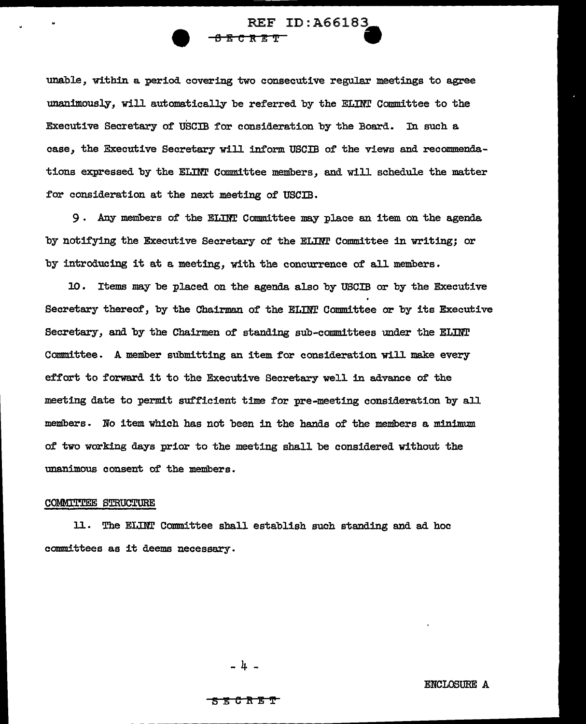### REF ID: A66183 <del>ট 7 7 7</del>

unable, within a period covering two consecutive regular meetings to agree unanimously, will automatically be referred by the ELINT Committee to the Executive Secretary of USCIB for consideration by the Board. In such a case, the Executive Secretary will inform USCIB of the views and recommendations expressed by the ELINT Committee members, and will schedule the matter for consideration at the next meeting of USCIB.

9. Any members of the ELINT Committee may place an item on the agenda by notifying the Executive Secretary of the ELINT Committee in writing; or by introducing it at a meeting, with the concurrence of' all members.

10. Items may be placed on the agenda also by USCIB or by the Executive Secretary thereof, by the Chairman of' the ELINT Committee or by its Executive Secretary, and by the Chairmen of standing sub-committees under the ELINT Committee. A member submitting an item for consideration will make every effort to forward it to the Executive Secretary well in advance of the meeting date to permit sufficient time for pre-meeting consideration by all members. No item which has not been in the hands of the members a. minimum of two working days prior to the meeting shall be considered without the unanimous consent of the members.

#### COMMl'l"l'EE STRUCTURE

1J.. The ELINr Committee shall establish such standing and ad hoc committees as it deems necessary.

. ມ

#### K 6 R E T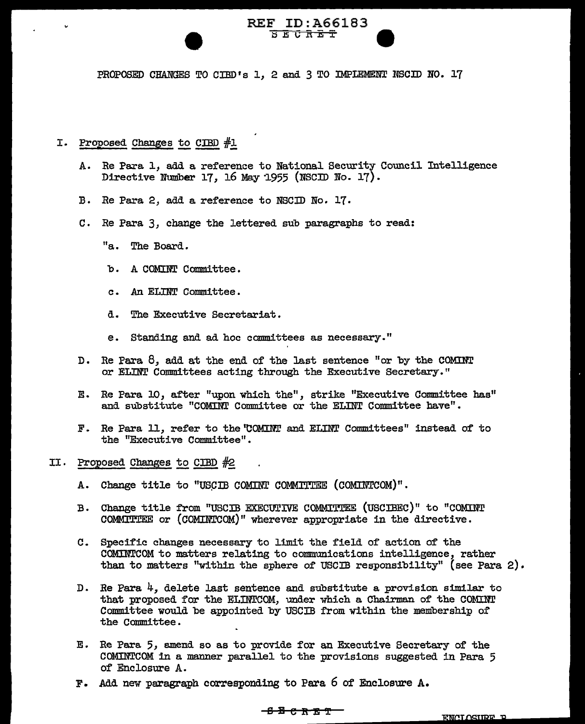#### REF ID:A66183  $\overline{x}$   $\overline{x}$   $\overline{y}$   $\overline{z}$   $\overline{x}$

PROPOSED CHANGES TO CIBD's 1, 2 and 3 TO IMPIEMENT NSCID NO. 17

### I. Proposed Changes to CIBD  $#1$

- A. Re Para 1, add a reference to National Security Council Intelligence Directive Number 17, 16 May 1955 (NSCID No. 17).
- B. Re Para 2, add a reference to NSCID No. 17.
- C. Re Para 3, change the lettered sub paragraphs to read:
	- "a. The Board.
	- b. A COMINT Committee.
	- c. An ELINT Committee.
	- d. The Executive Secretariat.
	- e. Standing and ad hoc committees as necessary."
- D. Re Para 8, add at the end of the last sentence "or by the COMINT or ELINT Committees acting through the Executive Secretary."
- E. Re Para. 10, after "upon which the", strike "Executive Committee bas" and substitute "COMINT Committee or the ELINT Committee have".
- F. Re Para 11, refer to the 'COMINT and ELINT Committees" instead of to the "Executive Committee".
- II. Proposed Changes to CIBD  $#2$ 
	- A. Change title to "USCIB COMINT COMMITTEE (COMINTCOM)".
	- B. Change title from "USCIB EXECUTIVE COMMITrEE (USCIBEC)" to "COMINT COMMITTEE or (COMINTCOM)" wherever appropriate in the directive.
	- C. Specific changes necessary to limit the field of action of the COMINTCOM to matters relating to communications intelligence, rather than to matters "within the sphere of USCIB responsibility" (see Para 2).
	- D. Re Para  $4$ , delete last sentence and substitute a provision similar to that proposed for the ELINTCOM, under which a Chairman of the COMINT Committee would be appointed by USCIB from within the membership of the Committee.
	- Re Para 5, amend so as to provide for an Executive Secretary of the COMINTCOM in a manner parallel to the provisions suggested in Para 5 of Enclosure A.
	- F. Add new paragraph corresponding to Para 6 of Enclosure A.

#### <del>850RET</del>